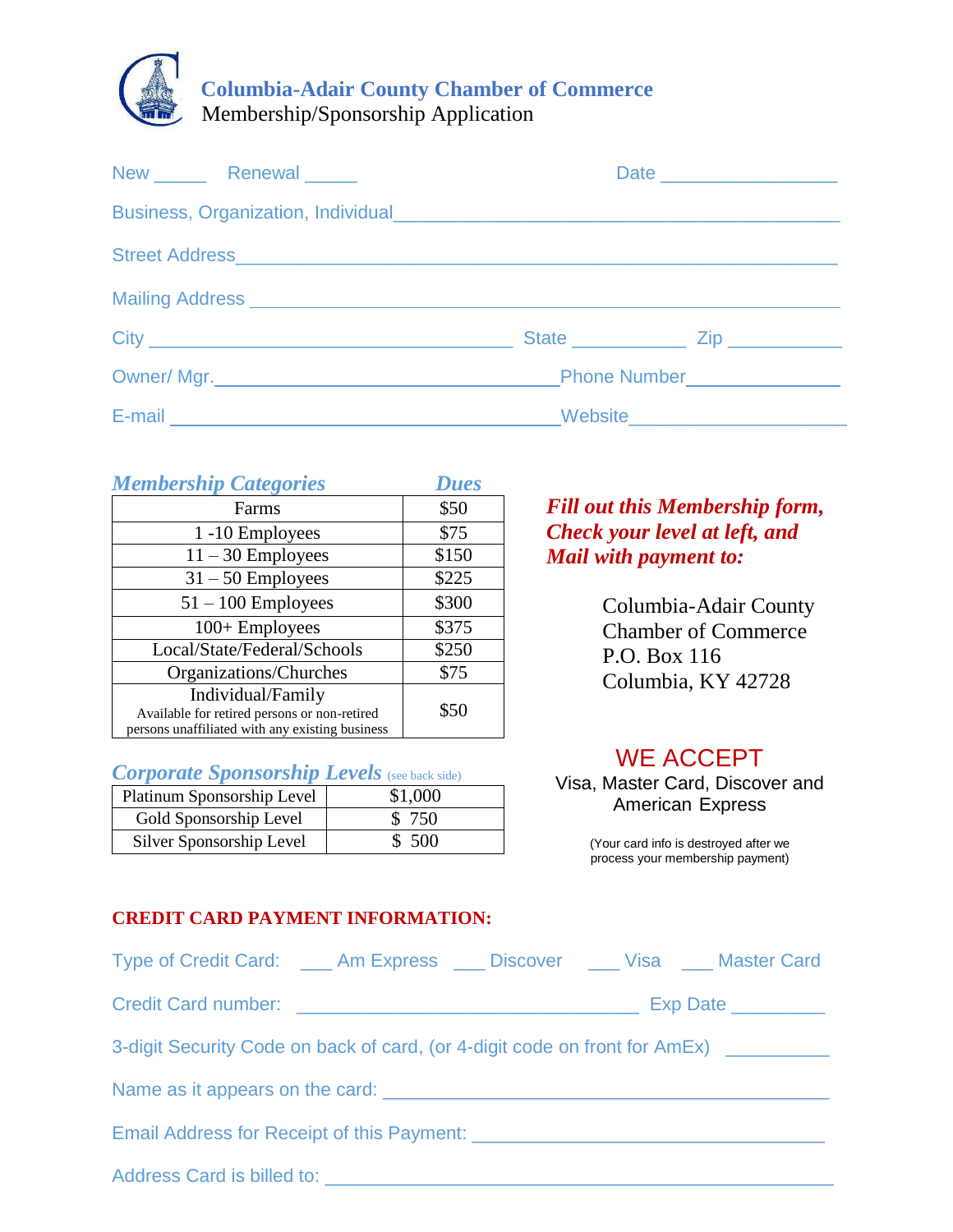

| New Renewal New York Renewal |                                                                                                                                                                                                                               | Date ____________________ |  |
|------------------------------|-------------------------------------------------------------------------------------------------------------------------------------------------------------------------------------------------------------------------------|---------------------------|--|
|                              |                                                                                                                                                                                                                               |                           |  |
|                              |                                                                                                                                                                                                                               |                           |  |
|                              |                                                                                                                                                                                                                               |                           |  |
|                              |                                                                                                                                                                                                                               |                           |  |
|                              |                                                                                                                                                                                                                               |                           |  |
|                              | E-mail entry and the contract of the Contract of the Contract of the Contract of the Contract of the Contract of the Contract of the Contract of the Contract of the Contract of the Contract of the Contract of the Contract |                           |  |

| <b>Membership Categories</b>                                                                                         | <b>Dues</b> |
|----------------------------------------------------------------------------------------------------------------------|-------------|
| Farms                                                                                                                | \$50        |
| 1-10 Employees                                                                                                       | \$75        |
| $11 - 30$ Employees                                                                                                  | \$150       |
| $31 - 50$ Employees                                                                                                  | \$225       |
| $51 - 100$ Employees                                                                                                 | \$300       |
| $100 +$ Employees                                                                                                    | \$375       |
| Local/State/Federal/Schools                                                                                          | \$250       |
| Organizations/Churches                                                                                               | \$75        |
| Individual/Family<br>Available for retired persons or non-retired<br>persons unaffiliated with any existing business | \$50        |

### *Corporate Sponsorship Levels* (see back side)

| Platinum Sponsorship Level | \$1,000 |
|----------------------------|---------|
| Gold Sponsorship Level     | \$ 750  |
| Silver Sponsorship Level   | \$500   |

### *Fill out this Membership form, Check your level at left, and Mail with payment to:*

Columbia-Adair County Chamber of Commerce P.O. Box 116 Columbia, KY 42728

# WE ACCEPT

Visa, Master Card, Discover and American Express

> (Your card info is destroyed after we process your membership payment)

#### **CREDIT CARD PAYMENT INFORMATION:**

| Type of Credit Card: ____ Am Express ____ Discover ____ Visa ____ Master Card      |  |  |                                     |  |  |
|------------------------------------------------------------------------------------|--|--|-------------------------------------|--|--|
|                                                                                    |  |  | $Exp Date$ <sub>_____________</sub> |  |  |
| 3-digit Security Code on back of card, (or 4-digit code on front for AmEx) _______ |  |  |                                     |  |  |
|                                                                                    |  |  |                                     |  |  |
|                                                                                    |  |  |                                     |  |  |
|                                                                                    |  |  |                                     |  |  |